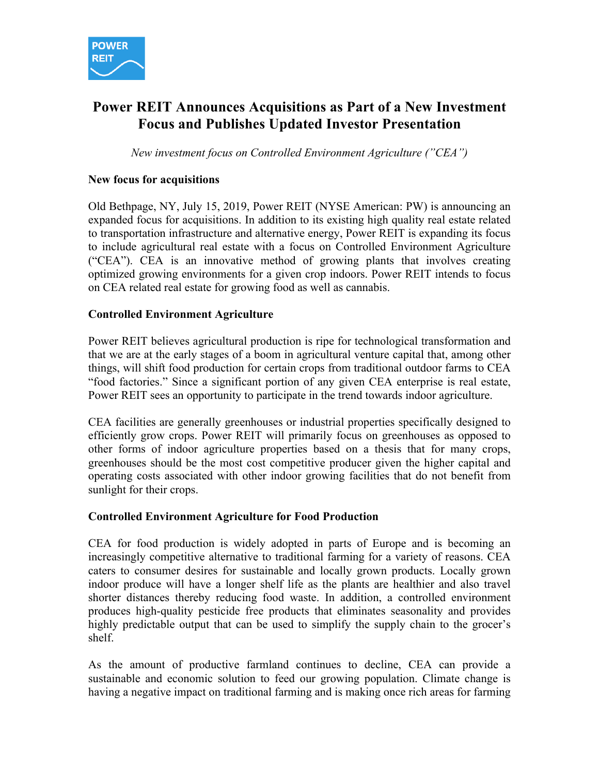

# **Power REIT Announces Acquisitions as Part of a New Investment Focus and Publishes Updated Investor Presentation**

*New investment focus on Controlled Environment Agriculture ("CEA")*

### **New focus for acquisitions**

Old Bethpage, NY, July 15, 2019, Power REIT (NYSE American: PW) is announcing an expanded focus for acquisitions. In addition to its existing high quality real estate related to transportation infrastructure and alternative energy, Power REIT is expanding its focus to include agricultural real estate with a focus on Controlled Environment Agriculture ("CEA"). CEA is an innovative method of growing plants that involves creating optimized growing environments for a given crop indoors. Power REIT intends to focus on CEA related real estate for growing food as well as cannabis.

### **Controlled Environment Agriculture**

Power REIT believes agricultural production is ripe for technological transformation and that we are at the early stages of a boom in agricultural venture capital that, among other things, will shift food production for certain crops from traditional outdoor farms to CEA "food factories." Since a significant portion of any given CEA enterprise is real estate, Power REIT sees an opportunity to participate in the trend towards indoor agriculture.

CEA facilities are generally greenhouses or industrial properties specifically designed to efficiently grow crops. Power REIT will primarily focus on greenhouses as opposed to other forms of indoor agriculture properties based on a thesis that for many crops, greenhouses should be the most cost competitive producer given the higher capital and operating costs associated with other indoor growing facilities that do not benefit from sunlight for their crops.

#### **Controlled Environment Agriculture for Food Production**

CEA for food production is widely adopted in parts of Europe and is becoming an increasingly competitive alternative to traditional farming for a variety of reasons. CEA caters to consumer desires for sustainable and locally grown products. Locally grown indoor produce will have a longer shelf life as the plants are healthier and also travel shorter distances thereby reducing food waste. In addition, a controlled environment produces high-quality pesticide free products that eliminates seasonality and provides highly predictable output that can be used to simplify the supply chain to the grocer's shelf.

As the amount of productive farmland continues to decline, CEA can provide a sustainable and economic solution to feed our growing population. Climate change is having a negative impact on traditional farming and is making once rich areas for farming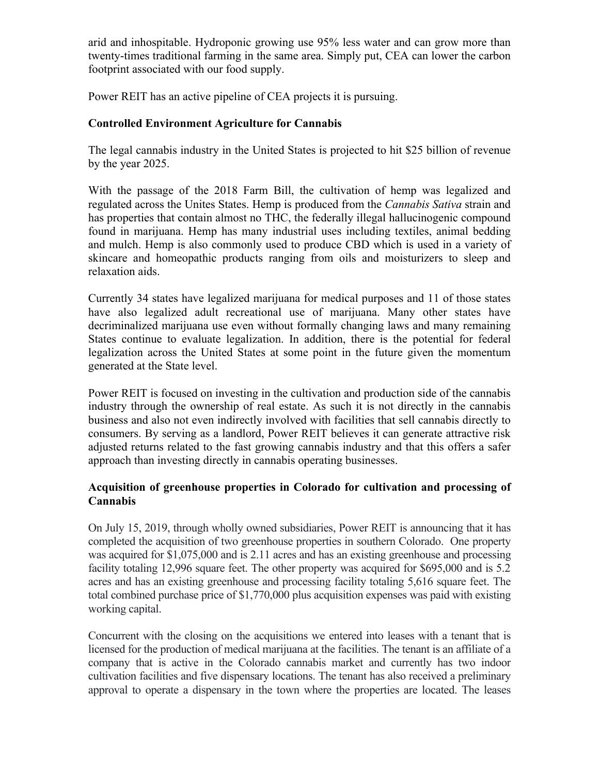arid and inhospitable. Hydroponic growing use 95% less water and can grow more than twenty-times traditional farming in the same area. Simply put, CEA can lower the carbon footprint associated with our food supply.

Power REIT has an active pipeline of CEA projects it is pursuing.

## **Controlled Environment Agriculture for Cannabis**

The legal cannabis industry in the United States is projected to hit \$25 billion of revenue by the year 2025.

With the passage of the 2018 Farm Bill, the cultivation of hemp was legalized and regulated across the Unites States. Hemp is produced from the *Cannabis Sativa* strain and has properties that contain almost no THC, the federally illegal hallucinogenic compound found in marijuana. Hemp has many industrial uses including textiles, animal bedding and mulch. Hemp is also commonly used to produce CBD which is used in a variety of skincare and homeopathic products ranging from oils and moisturizers to sleep and relaxation aids.

Currently 34 states have legalized marijuana for medical purposes and 11 of those states have also legalized adult recreational use of marijuana. Many other states have decriminalized marijuana use even without formally changing laws and many remaining States continue to evaluate legalization. In addition, there is the potential for federal legalization across the United States at some point in the future given the momentum generated at the State level.

Power REIT is focused on investing in the cultivation and production side of the cannabis industry through the ownership of real estate. As such it is not directly in the cannabis business and also not even indirectly involved with facilities that sell cannabis directly to consumers. By serving as a landlord, Power REIT believes it can generate attractive risk adjusted returns related to the fast growing cannabis industry and that this offers a safer approach than investing directly in cannabis operating businesses.

### **Acquisition of greenhouse properties in Colorado for cultivation and processing of Cannabis**

On July 15, 2019, through wholly owned subsidiaries, Power REIT is announcing that it has completed the acquisition of two greenhouse properties in southern Colorado. One property was acquired for \$1,075,000 and is 2.11 acres and has an existing greenhouse and processing facility totaling 12,996 square feet. The other property was acquired for \$695,000 and is 5.2 acres and has an existing greenhouse and processing facility totaling 5.616 square feet. The total combined purchase price of \$1,770,000 plus acquisition expenses was paid with existing working capital.

Concurrent with the closing on the acquisitions we entered into leases with a tenant that is licensed for the production of medical marijuana at the facilities. The tenant is an affiliate of a company that is active in the Colorado cannabis market and currently has two indoor cultivation facilities and five dispensary locations. The tenant has also received a preliminary approval to operate a dispensary in the town where the properties are located. The leases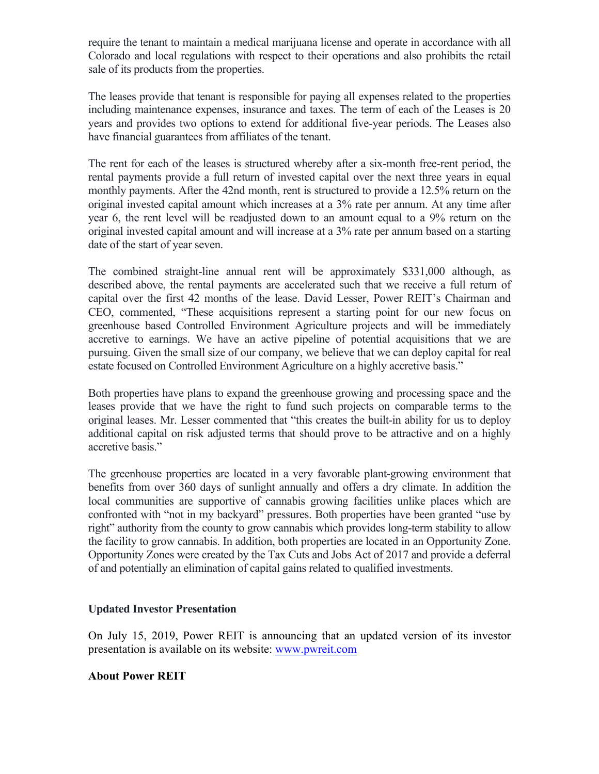require the tenant to maintain a medical marijuana license and operate in accordance with all Colorado and local regulations with respect to their operations and also prohibits the retail sale of its products from the properties.

The leases provide that tenant is responsible for paying all expenses related to the properties including maintenance expenses, insurance and taxes. The term of each of the Leases is 20 years and provides two options to extend for additional five-year periods. The Leases also have financial guarantees from affiliates of the tenant.

The rent for each of the leases is structured whereby after a six-month free-rent period, the rental payments provide a full return of invested capital over the next three years in equal monthly payments. After the 42nd month, rent is structured to provide a 12.5% return on the original invested capital amount which increases at a 3% rate per annum. At any time after year 6, the rent level will be readjusted down to an amount equal to a 9% return on the original invested capital amount and will increase at a 3% rate per annum based on a starting date of the start of year seven.

The combined straight-line annual rent will be approximately \$331,000 although, as described above, the rental payments are accelerated such that we receive a full return of capital over the first 42 months of the lease. David Lesser, Power REIT's Chairman and CEO, commented, "These acquisitions represent a starting point for our new focus on greenhouse based Controlled Environment Agriculture projects and will be immediately accretive to earnings. We have an active pipeline of potential acquisitions that we are pursuing. Given the small size of our company, we believe that we can deploy capital for real estate focused on Controlled Environment Agriculture on a highly accretive basis."

Both properties have plans to expand the greenhouse growing and processing space and the leases provide that we have the right to fund such projects on comparable terms to the original leases. Mr. Lesser commented that "this creates the built-in ability for us to deploy additional capital on risk adjusted terms that should prove to be attractive and on a highly accretive basis."

The greenhouse properties are located in a very favorable plant-growing environment that benefits from over 360 days of sunlight annually and offers a dry climate. In addition the local communities are supportive of cannabis growing facilities unlike places which are confronted with "not in my backyard" pressures. Both properties have been granted "use by right" authority from the county to grow cannabis which provides long-term stability to allow the facility to grow cannabis. In addition, both properties are located in an Opportunity Zone. Opportunity Zones were created by the Tax Cuts and Jobs Act of 2017 and provide a deferral of and potentially an elimination of capital gains related to qualified investments.

### **Updated Investor Presentation**

On July 15, 2019, Power REIT is announcing that an updated version of its investor presentation is available on its website: www.pwreit.com

### **About Power REIT**